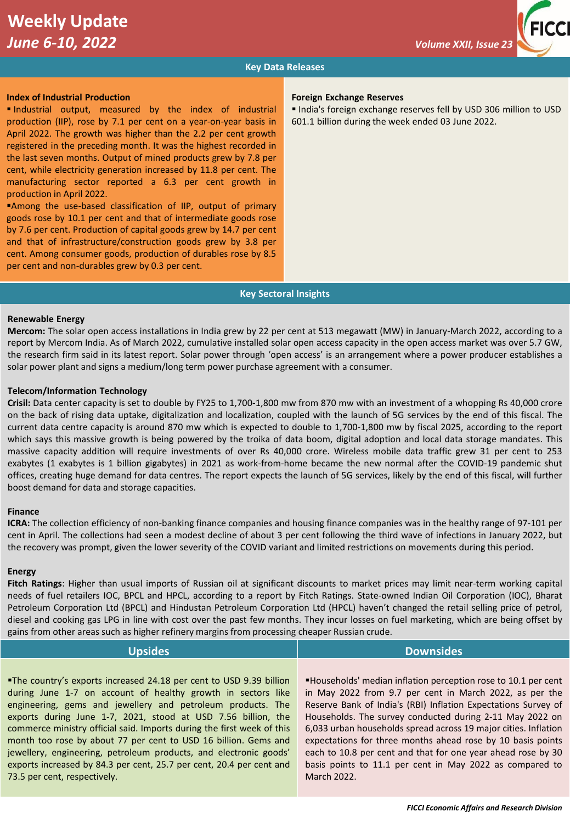# **Key Data Releases**

### **Index of Industrial Production**

▪ Industrial output, measured by the index of industrial production (IIP), rose by 7.1 per cent on a year-on-year basis in April 2022. The growth was higher than the 2.2 per cent growth registered in the preceding month. It was the highest recorded in the last seven months. Output of mined products grew by 7.8 per cent, while electricity generation increased by 11.8 per cent. The manufacturing sector reported a 6.3 per cent growth in production in April 2022.

**Among the use-based classification of IIP, output of primary** goods rose by 10.1 per cent and that of intermediate goods rose by 7.6 per cent. Production of capital goods grew by 14.7 per cent and that of infrastructure/construction goods grew by 3.8 per cent. Among consumer goods, production of durables rose by 8.5 per cent and non-durables grew by 0.3 per cent.

# **Foreign Exchange Reserves**

**India's foreign exchange reserves fell by USD 306 million to USD** 601.1 billion during the week ended 03 June 2022.

#### **Key Sectoral Insights**

## **Renewable Energy**

**Mercom:** The solar open access installations in India grew by 22 per cent at 513 megawatt (MW) in January-March 2022, according to a report by Mercom India. As of March 2022, cumulative installed solar open access capacity in the open access market was over 5.7 GW, the research firm said in its latest report. Solar power through 'open access' is an arrangement where a power producer establishes a solar power plant and signs a medium/long term power purchase agreement with a consumer.

#### **Telecom/Information Technology**

**Crisil:** Data center capacity is set to double by FY25 to 1,700-1,800 mw from 870 mw with an investment of a whopping Rs 40,000 crore on the back of rising data uptake, digitalization and localization, coupled with the launch of 5G services by the end of this fiscal. The current data centre capacity is around 870 mw which is expected to double to 1,700-1,800 mw by fiscal 2025, according to the report which says this massive growth is being powered by the troika of data boom, digital adoption and local data storage mandates. This massive capacity addition will require investments of over Rs 40,000 crore. Wireless mobile data traffic grew 31 per cent to 253 exabytes (1 exabytes is 1 billion gigabytes) in 2021 as work-from-home became the new normal after the COVID-19 pandemic shut offices, creating huge demand for data centres. The report expects the launch of 5G services, likely by the end of this fiscal, will further boost demand for data and storage capacities.

#### **Finance**

**ICRA:** The collection efficiency of non-banking finance companies and housing finance companies was in the healthy range of 97-101 per cent in April. The collections had seen a modest decline of about 3 per cent following the third wave of infections in January 2022, but the recovery was prompt, given the lower severity of the COVID variant and limited restrictions on movements during this period.

#### **Energy**

**Fitch Ratings**: Higher than usual imports of Russian oil at significant discounts to market prices may limit near-term working capital needs of fuel retailers IOC, BPCL and HPCL, according to a report by Fitch Ratings. State-owned Indian Oil Corporation (IOC), Bharat Petroleum Corporation Ltd (BPCL) and Hindustan Petroleum Corporation Ltd (HPCL) haven't changed the retail selling price of petrol, diesel and cooking gas LPG in line with cost over the past few months. They incur losses on fuel marketing, which are being offset by gains from other areas such as higher refinery margins from processing cheaper Russian crude.

| <b>Upsides</b>                                                         | <b>Downsides</b>                                                     |
|------------------------------------------------------------------------|----------------------------------------------------------------------|
|                                                                        |                                                                      |
| "The country's exports increased 24.18 per cent to USD 9.39 billion    | <b>Households'</b> median inflation perception rose to 10.1 per cent |
| during June 1-7 on account of healthy growth in sectors like           | in May 2022 from 9.7 per cent in March 2022, as per the              |
| engineering, gems and jewellery and petroleum products. The            | Reserve Bank of India's (RBI) Inflation Expectations Survey of       |
| exports during June 1-7, 2021, stood at USD 7.56 billion, the          | Households. The survey conducted during 2-11 May 2022 on             |
| commerce ministry official said. Imports during the first week of this | 6,033 urban households spread across 19 major cities. Inflation      |
| month too rose by about 77 per cent to USD 16 billion. Gems and        | expectations for three months ahead rose by 10 basis points          |
| jewellery, engineering, petroleum products, and electronic goods'      | each to 10.8 per cent and that for one year ahead rose by 30         |
| exports increased by 84.3 per cent, 25.7 per cent, 20.4 per cent and   | basis points to 11.1 per cent in May 2022 as compared to             |
| 73.5 per cent, respectively.                                           | March 2022.                                                          |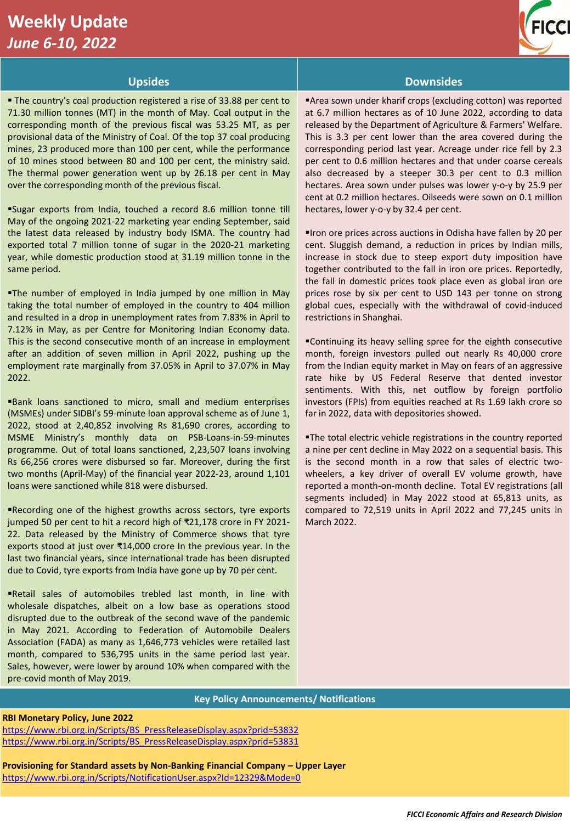# **Weekly Update**  *June 6-10, 2022*



■ The country's coal production registered a rise of 33.88 per cent to 71.30 million tonnes (MT) in the month of May. Coal output in the corresponding month of the previous fiscal was 53.25 MT, as per provisional data of the Ministry of Coal. Of the top 37 coal producing mines, 23 produced more than 100 per cent, while the performance of 10 mines stood between 80 and 100 per cent, the ministry said. The thermal power generation went up by 26.18 per cent in May over the corresponding month of the previous fiscal.

▪Sugar exports from India, touched a record 8.6 million tonne till May of the ongoing 2021-22 marketing year ending September, said the latest data released by industry body ISMA. The country had exported total 7 million tonne of sugar in the 2020-21 marketing year, while domestic production stood at 31.19 million tonne in the same period.

**The number of employed in India jumped by one million in May** taking the total number of employed in the country to 404 million and resulted in a drop in unemployment rates from 7.83% in April to 7.12% in May, as per Centre for Monitoring Indian Economy data. This is the second consecutive month of an increase in employment after an addition of seven million in April 2022, pushing up the employment rate marginally from 37.05% in April to 37.07% in May 2022.

**Bank loans sanctioned to micro, small and medium enterprises** (MSMEs) under SIDBI's 59-minute loan approval scheme as of June 1, 2022, stood at 2,40,852 involving Rs 81,690 crores, according to MSME Ministry's monthly data on PSB-Loans-in-59-minutes programme. Out of total loans sanctioned, 2,23,507 loans involving Rs 66,256 crores were disbursed so far. Moreover, during the first two months (April-May) of the financial year 2022-23, around 1,101 loans were sanctioned while 818 were disbursed.

Recording one of the highest growths across sectors, tyre exports jumped 50 per cent to hit a record high of ₹21,178 crore in FY 2021- 22. Data released by the Ministry of Commerce shows that tyre exports stood at just over ₹14,000 crore In the previous year. In the last two financial years, since international trade has been disrupted due to Covid, tyre exports from India have gone up by 70 per cent.

▪Retail sales of automobiles trebled last month, in line with wholesale dispatches, albeit on a low base as operations stood disrupted due to the outbreak of the second wave of the pandemic in May 2021. According to Federation of Automobile Dealers Association (FADA) as many as 1,646,773 vehicles were retailed last month, compared to 536,795 units in the same period last year. Sales, however, were lower by around 10% when compared with the pre-covid month of May 2019.

# **Upsides Downsides**

▪Area sown under kharif crops (excluding cotton) was reported at 6.7 million hectares as of 10 June 2022, according to data released by the Department of Agriculture & Farmers' Welfare. This is 3.3 per cent lower than the area covered during the corresponding period last year. Acreage under rice fell by 2.3 per cent to 0.6 million hectares and that under coarse cereals also decreased by a steeper 30.3 per cent to 0.3 million hectares. Area sown under pulses was lower y-o-y by 25.9 per cent at 0.2 million hectares. Oilseeds were sown on 0.1 million hectares, lower y-o-y by 32.4 per cent.

▪Iron ore prices across auctions in Odisha have fallen by 20 per cent. Sluggish demand, a reduction in prices by Indian mills, increase in stock due to steep export duty imposition have together contributed to the fall in iron ore prices. Reportedly, the fall in domestic prices took place even as global iron ore prices rose by six per cent to USD 143 per tonne on strong global cues, especially with the withdrawal of covid-induced restrictions in Shanghai.

▪Continuing its heavy selling spree for the eighth consecutive month, foreign investors pulled out nearly Rs 40,000 crore from the Indian equity market in May on fears of an aggressive rate hike by US Federal Reserve that dented investor sentiments. With this, net outflow by foreign portfolio investors (FPIs) from equities reached at Rs 1.69 lakh crore so far in 2022, data with depositories showed.

**The total electric vehicle registrations in the country reported** a nine per cent decline in May 2022 on a sequential basis. This is the second month in a row that sales of electric twowheelers, a key driver of overall EV volume growth, have reported a month-on-month decline. Total EV registrations (all segments included) in May 2022 stood at 65,813 units, as compared to 72,519 units in April 2022 and 77,245 units in March 2022.

# **Key Policy Announcements/ Notifications**

#### **RBI Monetary Policy, June 2022**

[https://www.rbi.org.in/Scripts/BS\\_PressReleaseDisplay.aspx?prid=53832](https://www.rbi.org.in/Scripts/BS_PressReleaseDisplay.aspx?prid=53832) [https://www.rbi.org.in/Scripts/BS\\_PressReleaseDisplay.aspx?prid=53831](https://www.rbi.org.in/Scripts/BS_PressReleaseDisplay.aspx?prid=53831)

**Provisioning for Standard assets by Non-Banking Financial Company – Upper Layer** <https://www.rbi.org.in/Scripts/NotificationUser.aspx?Id=12329&Mode=0>